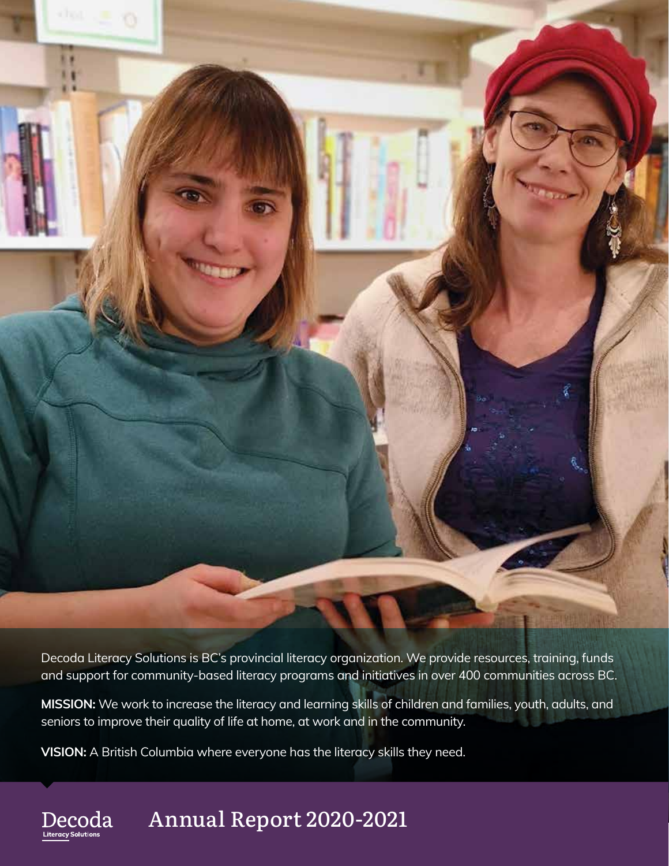

Decoda Literacy Solutions is BC's provincial literacy organization. We provide resources, training, funds and support for community-based literacy programs and initiatives in over 400 communities across BC.

**MISSION:** We work to increase the literacy and learning skills of children and families, youth, adults, and seniors to improve their quality of life at home, at work and in the community.

**VISION:** A British Columbia where everyone has the literacy skills they need.

#### Annual Report 2020-2021 Decoda

**Literacy** S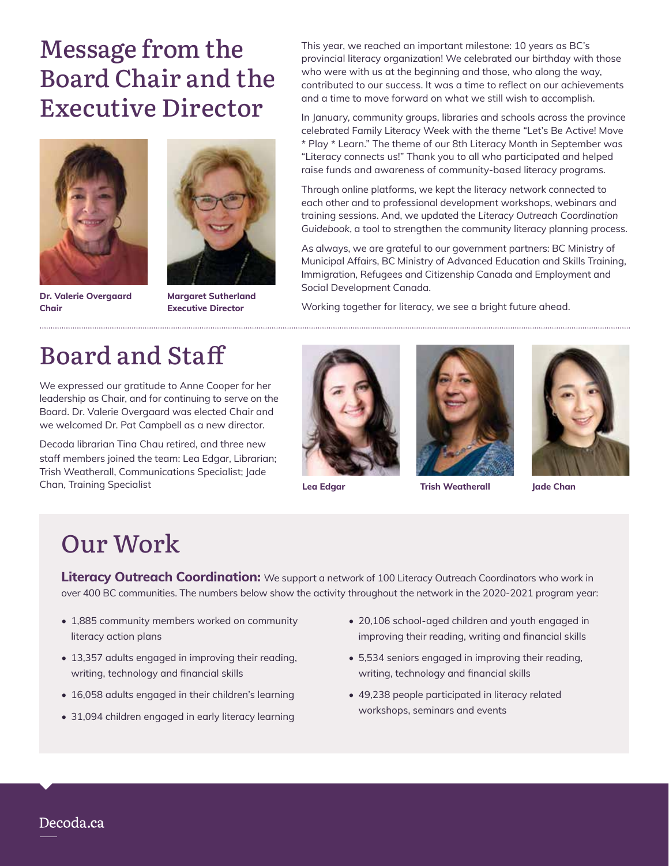# Message from the Board Chair and the Executive Director



**Dr. Valerie Overgaard Chair** 



**Margaret Sutherland Executive Director**

This year, we reached an important milestone: 10 years as BC's provincial literacy organization! We celebrated our birthday with those who were with us at the beginning and those, who along the way, contributed to our success. It was a time to reflect on our achievements and a time to move forward on what we still wish to accomplish.

In January, community groups, libraries and schools across the province celebrated Family Literacy Week with the theme "Let's Be Active! Move \* Play \* Learn." The theme of our 8th Literacy Month in September was "Literacy connects us!" Thank you to all who participated and helped raise funds and awareness of community-based literacy programs.

Through online platforms, we kept the literacy network connected to each other and to professional development workshops, webinars and training sessions. And, we updated the *Literacy Outreach Coordination Guidebook*, a tool to strengthen the community literacy planning process.

As always, we are grateful to our government partners: BC Ministry of Municipal Affairs, BC Ministry of Advanced Education and Skills Training, Immigration, Refugees and Citizenship Canada and Employment and Social Development Canada.

Working together for literacy, we see a bright future ahead.

# Board and Staff

We expressed our gratitude to Anne Cooper for her leadership as Chair, and for continuing to serve on the Board. Dr. Valerie Overgaard was elected Chair and we welcomed Dr. Pat Campbell as a new director.

Decoda librarian Tina Chau retired, and three new staff members joined the team: Lea Edgar, Librarian; Trish Weatherall, Communications Specialist; Jade Chan, Training Specialist





**Lea Edgar Trish Weatherall Jade Chan**



### Our Work

**Literacy Outreach Coordination:** We support a network of 100 Literacy Outreach Coordinators who work in over 400 BC communities. The numbers below show the activity throughout the network in the 2020-2021 program year:

- 1,885 community members worked on community literacy action plans
- 13,357 adults engaged in improving their reading, writing, technology and financial skills
- 16,058 adults engaged in their children's learning
- 31,094 children engaged in early literacy learning
- 20,106 school-aged children and youth engaged in improving their reading, writing and financial skills
- 5,534 seniors engaged in improving their reading, writing, technology and financial skills
- 49,238 people participated in literacy related workshops, seminars and events

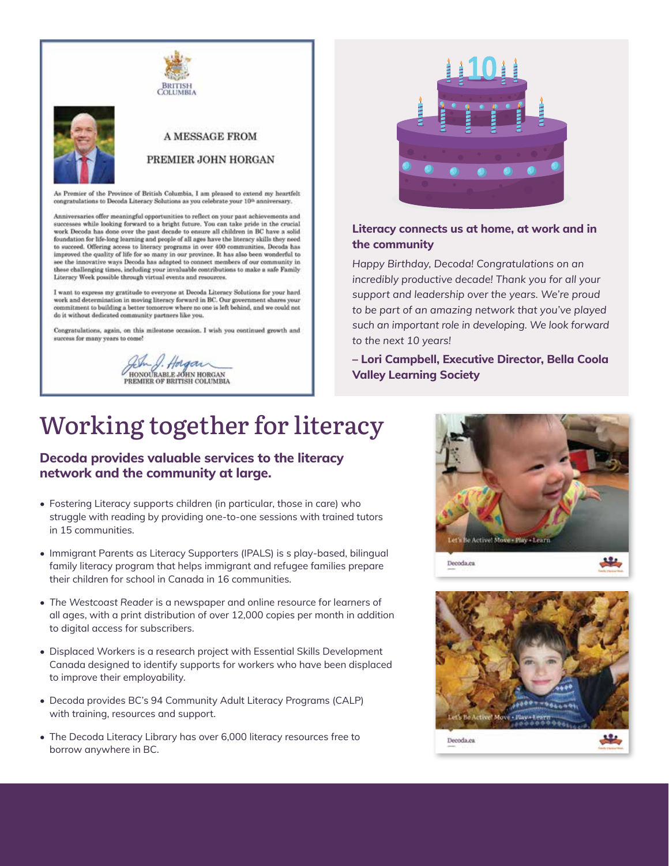



#### **A MESSAGE FROM**

#### PREMIER JOHN HORGAN

As Premier of the Province of British Columbia, I am pleased to extend my heartfelt congratulations to Decoda Literacy Solutions as you celebrate your 10<sup>th</sup> anniversary.

Anniversaries offer meaningful opportunities to reflect on your past achievements and successes while looking forward to a bright future. You can take pride in the crucial work Decoda has done over the past decade to ensure all children in BC have a solid foundation for life-long learning and people of all ages have the literacy skills they need to succeed. Offering access to literacy programs in over 400 communities, Decoda has improved the quality of life for so many in our province. It has also been wonderful to see the innovative ways Decoda has adapted to connect members of our community in these challenging times, including your invaluable contributions to make a safe Family Literacy Week possible through virtual events and resources.

I want to express my gratitude to everyone at Decoda Literacy Solutions for your hard work and determination in moving literacy forward in BC. Our government shares your commitment to building a better tomorrow where no one is left behind, and we could not do it without dedicated community partners like you.

Congratulations, again, on this milestone occasion. I wish you continued growth and success for many years to come!

J. Holgan<br>HONOURABLE JOHN HORGAN<br>PREMIER OF BRITISH COLUMBIA



### **Literacy connects us at home, at work and in the community**

*Happy Birthday, Decoda! Congratulations on an incredibly productive decade! Thank you for all your support and leadership over the years. We're proud to be part of an amazing network that you've played such an important role in developing. We look forward to the next 10 years!*

**– Lori Campbell, Executive Director, Bella Coola Valley Learning Society**

# Working together for literacy

### **Decoda provides valuable services to the literacy network and the community at large.**

- Fostering Literacy supports children (in particular, those in care) who struggle with reading by providing one-to-one sessions with trained tutors in 15 communities.
- Immigrant Parents as Literacy Supporters (IPALS) is s play-based, bilingual family literacy program that helps immigrant and refugee families prepare their children for school in Canada in 16 communities.
- *The Westcoast Reader* is a newspaper and online resource for learners of all ages, with a print distribution of over 12,000 copies per month in addition to digital access for subscribers.
- Displaced Workers is a research project with Essential Skills Development Canada designed to identify supports for workers who have been displaced to improve their employability.
- Decoda provides BC's 94 Community Adult Literacy Programs (CALP) with training, resources and support.
- The Decoda Literacy Library has over 6,000 literacy resources free to borrow anywhere in BC.